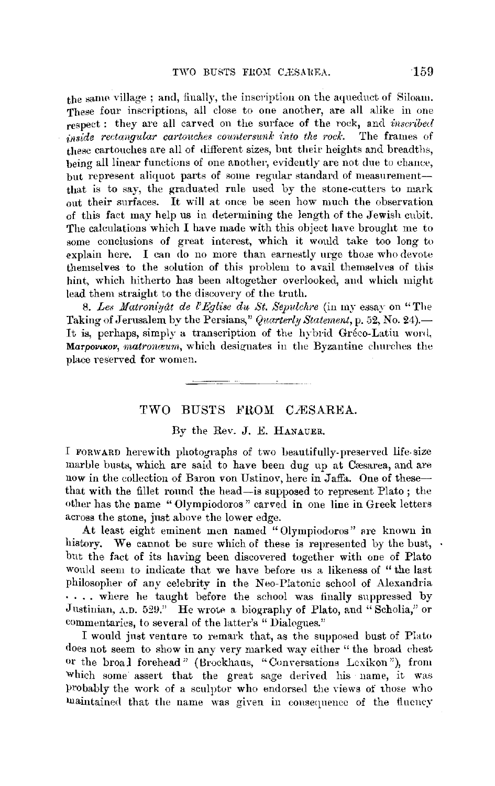the same village ; and, finally, the inscription on the aqueduct of Siloam. These four inscriptions, all close to one another, are all alike in one respect : they are all carved on the surface of the rock, and *inscribed inside rectangular cartouches countersunk into the rock.* The frames of these cartouches are all of different sizes, but their heights and breadths. being all linear functions of one another, evidently are not due to chance, but represent aliquot parts of some regular standard of measurementthat is to say, the graduated rule used by the stone-cutters to mark out their surfaces. It will at once be seen how much the observation of this fact may help us in determining the length of the Jewish cubit. The calculations which I have made with this object have brought me to some conclusions of great interest, which it would take too long to explain here. I can do no more than earnestly urge those who devote themselves to the solution of this problem to avail themselves of this hint, which hitherto has been altogether overlooked, and which might lead them straight to the discovery of the truth.

8. Les Matroniyat de l'Eglise du St. Sepulchre *(in my essay on* "The Taking of Jerusalem by the Persians," *Quarterly Statement*, p. 52, No. 24). It is, perhaps, simply a transcription of the hybrid Gréco-Latin word, Marpovikov, matroneum, which designates in the Byzantine churches the place reserved for women.

## TWO BUSTS FROM CÆSAREA.

## By the Rev. J. E. HANAUER.

I FORWARD herewith photographs of two heautifully-preserved life.size marble busts, which are said to have been dug up at Cæsarea, and are now in the collection of Baron von Ustinov, here in Jaffa. One of thesethat with the fillet round the head-is supposed to represent Plato ; the other has the name "Olyrnpiodoros" carved in one line in Greek letters across the stone, just above the lower edge.

At least eight eminent men named "Olympiodoros" are known in history. We cannot be sure which of these is represented by the bust, but the fact of its having been discovered together with one of Plato would seem to indicate that we have before us a likeness of "the last philosopher of any celebrity in the Neo-Platonic school of Alexandria • ... where he taught before the school was finally suppressed by Justinian,  $\Lambda$ , D. 529." He wrote a biography of Plato, and "Scholia," or commentaries, to several of the latter's " Dialogues."

I would just venture to remark that, as the supposed bust of Plato does not seem to show in any very marked way either " the broad chest or the broad forehead" (Brockhaus, "Conversations Lexikon"), from which some assert that the great sage derived his name, it was probably the work of a sculptor who endorsed the views of those who maintained that the name was given in consequence of the fluency